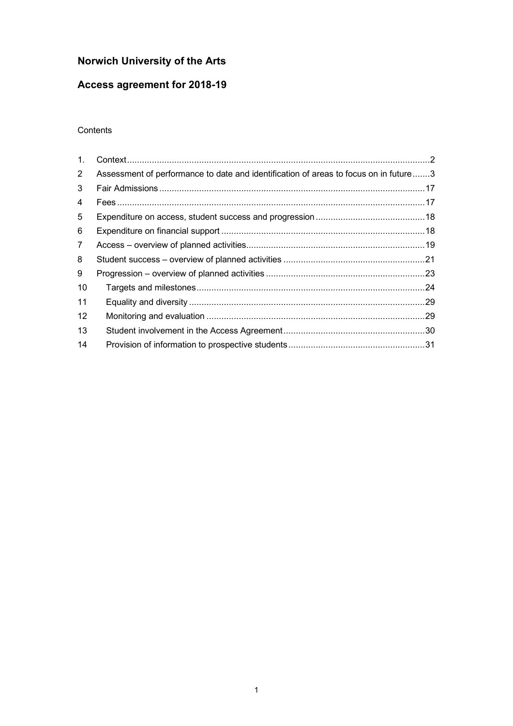# **Norwich University of the Arts**

# **Access agreement for 2018-19**

#### **Contents**

| $1_{-}$           |                                                                                      |  |
|-------------------|--------------------------------------------------------------------------------------|--|
| $\overline{2}$    | Assessment of performance to date and identification of areas to focus on in future3 |  |
| 3                 |                                                                                      |  |
| 4                 |                                                                                      |  |
| 5                 |                                                                                      |  |
| 6                 |                                                                                      |  |
| $\mathbf{7}$      |                                                                                      |  |
| 8                 |                                                                                      |  |
| 9                 |                                                                                      |  |
| 10                |                                                                                      |  |
| 11                |                                                                                      |  |
| $12 \overline{ }$ |                                                                                      |  |
| 13                |                                                                                      |  |
| 14                |                                                                                      |  |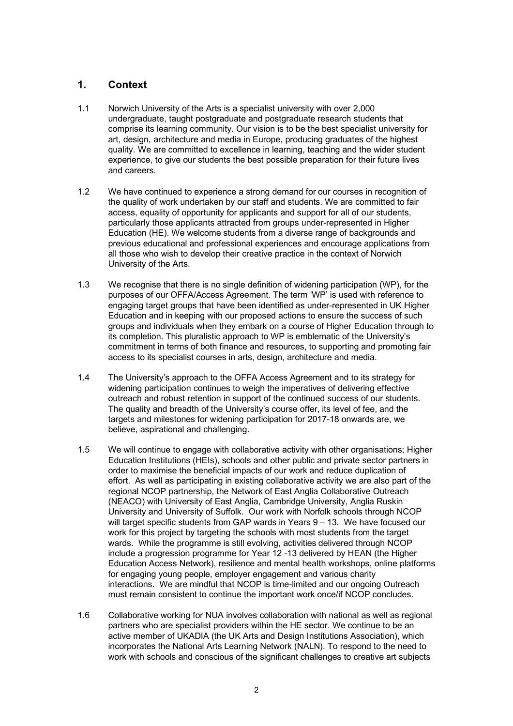## <span id="page-1-0"></span>**1. Context**

- 1.1 Norwich University of the Arts is a specialist university with over 2,000 undergraduate, taught postgraduate and postgraduate research students that comprise its learning community. Our vision is to be the best specialist university for art, design, architecture and media in Europe, producing graduates of the highest quality. We are committed to excellence in learning, teaching and the wider student experience, to give our students the best possible preparation for their future lives and careers.
- $1.2$  the quality of work undertaken by our staff and students. We are committed to fair access, equality of opportunity for applicants and support for all of our students, particularly those applicants attracted from groups under-represented in Higher Education (HE). We welcome students from a diverse range of backgrounds and previous educational and professional experiences and encourage applications from all those who wish to develop their creative practice in the context of Norwich University of the Arts. We have continued to experience a strong demand for our courses in recognition of
- $1.3$  purposes of our OFFA/Access Agreement. The term 'WP' is used with reference to engaging target groups that have been identified as under-represented in UK Higher Education and in keeping with our proposed actions to ensure the success of such groups and individuals when they embark on a course of Higher Education through to its completion. This pluralistic approach to WP is emblematic of the University's commitment in terms of both finance and resources, to supporting and promoting fair access to its specialist courses in arts, design, architecture and media. We recognise that there is no single definition of widening participation (WP), for the
- 1.4 The University's approach to the OFFA Access Agreement and to its strategy for widening participation continues to weigh the imperatives of delivering effective outreach and robust retention in support of the continued success of our students. The quality and breadth of the University's course offer, its level of fee, and the targets and milestones for widening participation for 2017-18 onwards are, we believe, aspirational and challenging.
- $1.5$  Education Institutions (HEIs), schools and other public and private sector partners in order to maximise the beneficial impacts of our work and reduce duplication of effort. As well as participating in existing collaborative activity we are also part of the regional NCOP partnership, the Network of East Anglia Collaborative Outreach (NEACO) with University of East Anglia, Cambridge University, Anglia Ruskin University and University of Suffolk. Our work with Norfolk schools through NCOP will target specific students from GAP wards in Years 9 – 13. We have focused our work for this project by targeting the schools with most students from the target wards. While the programme is still evolving, activities delivered through NCOP include a progression programme for Year 12 -13 delivered by HEAN (the Higher Education Access Network), resilience and mental health workshops, online platforms for engaging young people, employer engagement and various charity interactions. We are mindful that NCOP is time-limited and our ongoing Outreach must remain consistent to continue the important work once/if NCOP concludes. We will continue to engage with collaborative activity with other organisations; Higher
- 1.6 Collaborative working for NUA involves collaboration with national as well as regional partners who are specialist providers within the HE sector. We continue to be an active member of UKADIA (the UK Arts and Design Institutions Association), which incorporates the National Arts Learning Network (NALN). To respond to the need to work with schools and conscious of the significant challenges to creative art subjects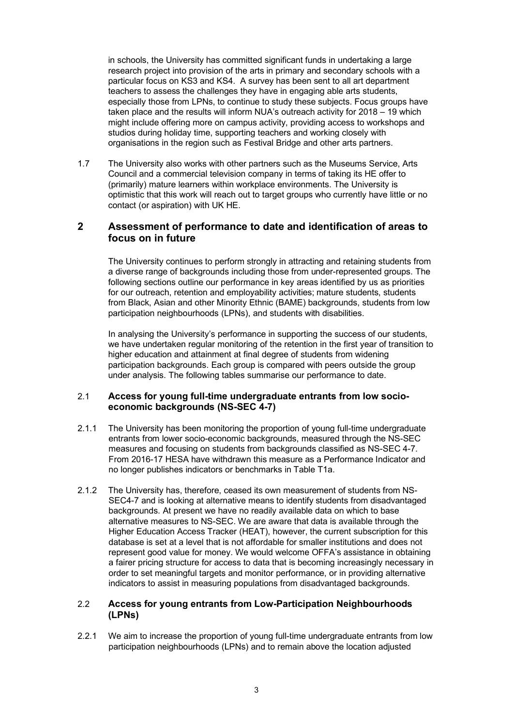<span id="page-2-0"></span> in schools, the University has committed significant funds in undertaking a large research project into provision of the arts in primary and secondary schools with a particular focus on KS3 and KS4. A survey has been sent to all art department teachers to assess the challenges they have in engaging able arts students, especially those from LPNs, to continue to study these subjects. Focus groups have taken place and the results will inform NUA's outreach activity for 2018 – 19 which might include offering more on campus activity, providing access to workshops and studios during holiday time, supporting teachers and working closely with organisations in the region such as Festival Bridge and other arts partners.

 $1.7$  Council and a commercial television company in terms of taking its HE offer to (primarily) mature learners within workplace environments. The University is optimistic that this work will reach out to target groups who currently have little or no contact (or aspiration) with UK HE. The University also works with other partners such as the Museums Service, Arts

#### **2 Assessment of performance to date and identification of areas to focus on in future**

 The University continues to perform strongly in attracting and retaining students from a diverse range of backgrounds including those from under-represented groups. The following sections outline our performance in key areas identified by us as priorities for our outreach, retention and employability activities; mature students, students from Black, Asian and other Minority Ethnic (BAME) backgrounds, students from low participation neighbourhoods (LPNs), and students with disabilities.

 In analysing the University's performance in supporting the success of our students, we have undertaken regular monitoring of the retention in the first year of transition to higher education and attainment at final degree of students from widening participation backgrounds. Each group is compared with peers outside the group under analysis. The following tables summarise our performance to date.

#### 2.1 **Access for young full-time undergraduate entrants from low socioeconomic backgrounds (NS-SEC 4-7)**

- $2.1.1$  entrants from lower socio-economic backgrounds, measured through the NS-SEC measures and focusing on students from backgrounds classified as NS-SEC 4-7. From 2016-17 HESA have withdrawn this measure as a Performance Indicator and no longer publishes indicators or benchmarks in Table T1a. The University has been monitoring the proportion of young full-time undergraduate
- $2.1.2$  SEC4-7 and is looking at alternative means to identify students from disadvantaged backgrounds. At present we have no readily available data on which to base alternative measures to NS-SEC. We are aware that data is available through the Higher Education Access Tracker (HEAT), however, the current subscription for this database is set at a level that is not affordable for smaller institutions and does not represent good value for money. We would welcome OFFA's assistance in obtaining a fairer pricing structure for access to data that is becoming increasingly necessary in order to set meaningful targets and monitor performance, or in providing alternative indicators to assist in measuring populations from disadvantaged backgrounds. The University has, therefore, ceased its own measurement of students from NS-

#### 2.2 **Access for young entrants from Low-Participation Neighbourhoods (LPNs)**

 $2.2.1$  participation neighbourhoods (LPNs) and to remain above the location adjusted We aim to increase the proportion of young full-time undergraduate entrants from low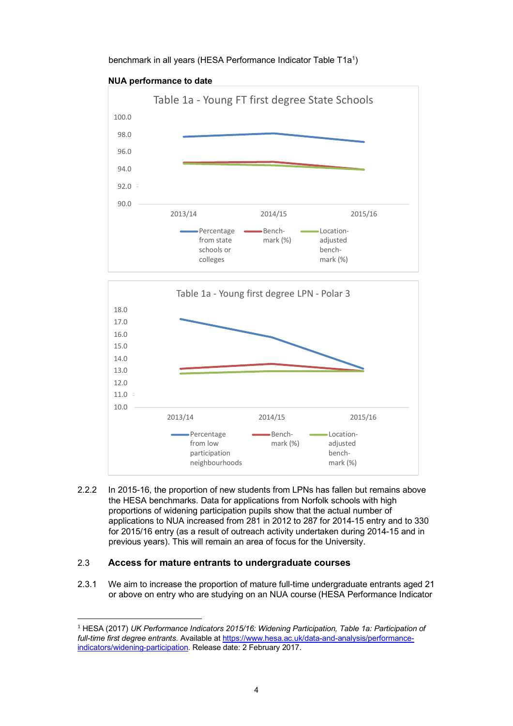benchmark in all years (HESA Performance Indicator Table T1a<sup>1</sup>)



#### **NUA performance to date**



 2.2.2 In 2015-16, the proportion of new students from LPNs has fallen but remains above the HESA benchmarks. Data for applications from Norfolk schools with high proportions of widening participation pupils show that the actual number of applications to NUA increased from 281 in 2012 to 287 for 2014-15 entry and to 330 for 2015/16 entry (as a result of outreach activity undertaken during 2014-15 and in previous years). This will remain an area of focus for the University.

#### 2.3 **Access for mature entrants to undergraduate courses**

 

 $2.3.1$  or above on entry who are studying on an NUA course (HESA Performance Indicator We aim to increase the proportion of mature full-time undergraduate entrants aged 21

<sup>&</sup>lt;sup>1</sup> HESA (2017) *UK Performance Indicators 2015/16: Widening Participation, Table 1a: Participation of full-time first degree entrants.* Available at<https://www.hesa.ac.uk/data-and-analysis/performance>indicators/widening-participation. Release date: 2 February 2017.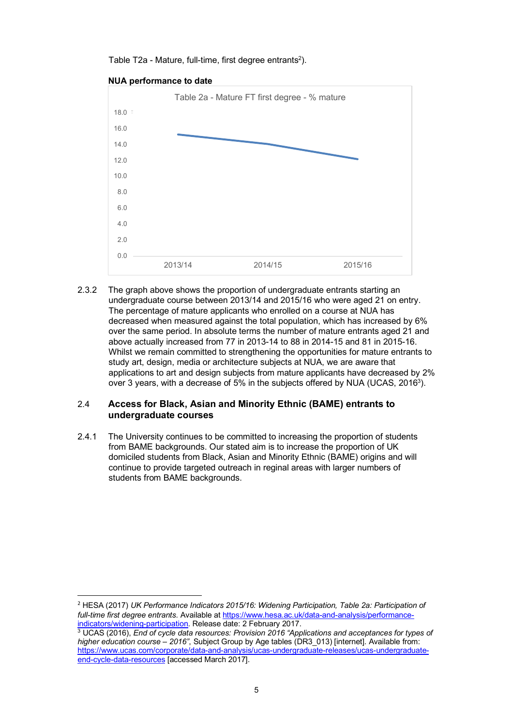Table T2a - Mature, full-time, first degree entrants<sup>2</sup>).



 $2.3.2$  undergraduate course between 2013/14 and 2015/16 who were aged 21 on entry. The percentage of mature applicants who enrolled on a course at NUA has decreased when measured against the total population, which has increased by 6% over the same period. In absolute terms the number of mature entrants aged 21 and above actually increased from 77 in 2013-14 to 88 in 2014-15 and 81 in 2015-16. Whilst we remain committed to strengthening the opportunities for mature entrants to study art, design, media or architecture subjects at NUA, we are aware that applications to art and design subjects from mature applicants have decreased by 2% over 3 years, with a decrease of 5% in the subjects offered by NUA (UCAS, 2016<sup>3</sup>). The graph above shows the proportion of undergraduate entrants starting an

#### 2.4 **Access for Black, Asian and Minority Ethnic (BAME) entrants to undergraduate courses**

 $2.4.1$  from BAME backgrounds. Our stated aim is to increase the proportion of UK domiciled students from Black, Asian and Minority Ethnic (BAME) origins and will continue to provide targeted outreach in reginal areas with larger numbers of students from BAME backgrounds. The University continues to be committed to increasing the proportion of students

 

<sup>&</sup>lt;sup>2</sup> HESA (2017) UK Performance Indicators 2015/16: Widening Participation, Table 2a: Participation of  *full-time first degree entrants.* Available at<https://www.hesa.ac.uk/data-and-analysis/performance>indicators/widening-participation. Release date: 2 February 2017. <u>indicators/widening-participation</u>. Release date: 2 February 2017.<br><sup>3</sup> UCAS (2016), *End of cycle data resources: Provision 2016 "Applications and acceptances for types of* 

 *higher education course – 2016"*, Subject Group by Age tables (DR3\_013) [internet]. Available from: end-cycle-data-resources [accessed March 2017]. [https://www.ucas.com/corporate/data-and-analysis/ucas-undergraduate-releases/ucas-undergraduate-](https://www.ucas.com/corporate/data-and-analysis/ucas-undergraduate-releases/ucas-undergraduate)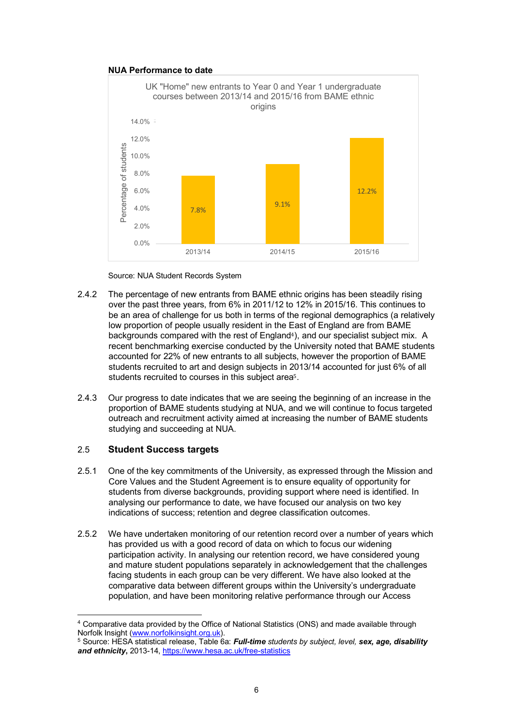#### **NUA Performance to date**



Source: NUA Student Records System

- $2.4.2$  over the past three years, from 6% in 2011/12 to 12% in 2015/16. This continues to be an area of challenge for us both in terms of the regional demographics (a relatively low proportion of people usually resident in the East of England are from BAME backgrounds compared with the rest of England<sup>4</sup>), and our specialist subject mix. A recent benchmarking exercise conducted by the University noted that BAME students accounted for 22% of new entrants to all subjects, however the proportion of BAME students recruited to art and design subjects in 2013/14 accounted for just 6% of all students recruited to courses in this subject area<sup>5</sup>. The percentage of new entrants from BAME ethnic origins has been steadily rising
- $2.4.3$  proportion of BAME students studying at NUA, and we will continue to focus targeted outreach and recruitment activity aimed at increasing the number of BAME students studying and succeeding at NUA. Our progress to date indicates that we are seeing the beginning of an increase in the

#### 2.5 **Student Success targets**

 

- $2.5.1$  Core Values and the Student Agreement is to ensure equality of opportunity for students from diverse backgrounds, providing support where need is identified. In analysing our performance to date, we have focused our analysis on two key indications of success; retention and degree classification outcomes. 2.5.1 One of the key commitments of the University, as expressed through the Mission and
- $2.5.2$  has provided us with a good record of data on which to focus our widening participation activity. In analysing our retention record, we have considered young and mature student populations separately in acknowledgement that the challenges facing students in each group can be very different. We have also looked at the comparative data between different groups within the University's undergraduate population, and have been monitoring relative performance through our Access We have undertaken monitoring of our retention record over a number of years which

<sup>&</sup>lt;sup>4</sup> Comparative data provided by the Office of National Statistics (ONS) and made available through Norfolk Insight [\(www.norfolkinsight.org.uk\)](www.norfolkinsight.org.uk).

 5 Source: HESA statistical release, Table 6a: *Full-time students by subject, level, sex, age, disability and ethnicity***,** 2013-14, <https://www.hesa.ac.uk/free-statistics>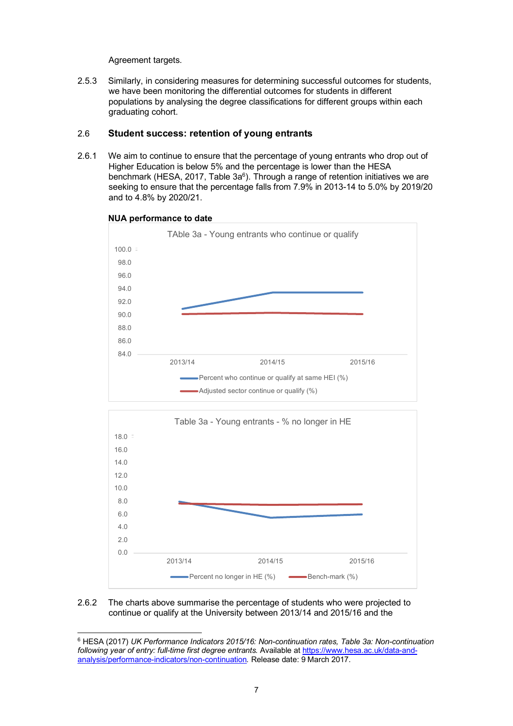Similarly, in considering measures for determining successful outcomes for students, we have been monitoring the differential outcomes for students in different populations by analysing the degree classifications for different groups within each graduating cohort. 2.5.3 Agreement targets.<br>
2.5.3 Similarly, in conside<br>
we have been monii<br>
populations by analy<br>
graduating cohort.<br>
2.6 **Student success**<br>
2.6.1 We aim to continue

#### **Student success: retention of young entrants**  2.6

 $2.6.1$  Higher Education is below 5% and the percentage is lower than the HESA benchmark (HESA, 2017, Table  $3a^6$ ). Through a range of retention initiatives we are seeking to ensure that the percentage falls from 7.9% in 2013-14 to 5.0% by 2019/20 We aim to continue to ensure that the percentage of young entrants who drop out of and to 4.8% by 2020/21.



#### **NUA performance to date**

 



#### 2.6.2 continue or qualify at the University between 2013/14 and 2015/16 and the The charts above summarise the percentage of students who were projected to

 6 HESA (2017) *UK Performance Indicators 2015/16: Non-continuation rates, Table 3a: Non-continuation following year of entry: full-time first degree entrants.* Available at <https://www.hesa.ac.uk/data-and>-analysis/performance-indicators/non-continuation*.* Release date: 9 March 2017.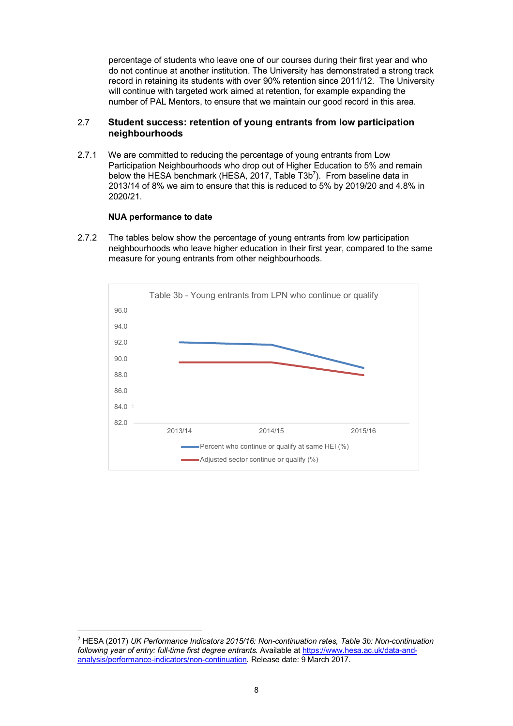percentage of students who leave one of our courses during their first year and who do not continue at another institution. The University has demonstrated a strong track record in retaining its students with over 90% retention since 2011/12. The University will continue with targeted work aimed at retention, for example expanding the number of PAL Mentors, to ensure that we maintain our good record in this area.

#### 2.7 **Student success: retention of young entrants from low participation neighbourhoods**

 $2.7.1$  Participation Neighbourhoods who drop out of Higher Education to 5% and remain below the HESA benchmark (HESA, 2017, Table T3b<sup>7</sup>). From baseline data in 2013/14 of 8% we aim to ensure that this is reduced to 5% by 2019/20 and 4.8% in We are committed to reducing the percentage of young entrants from Low 2020/21.

#### **NUA performance to date**

 

 2.7.2 The tables below show the percentage of young entrants from low participation neighbourhoods who leave higher education in their first year, compared to the same measure for young entrants from other neighbourhoods.



 <sup>7</sup> HESA (2017) *UK Performance Indicators 2015/16: Non-continuation rates, Table 3b: Non-continuation following year of entry: full-time first degree entrants.* Available at <https://www.hesa.ac.uk/data-and>-analysis/performance-indicators/non-continuation*.* Release date: 9 March 2017.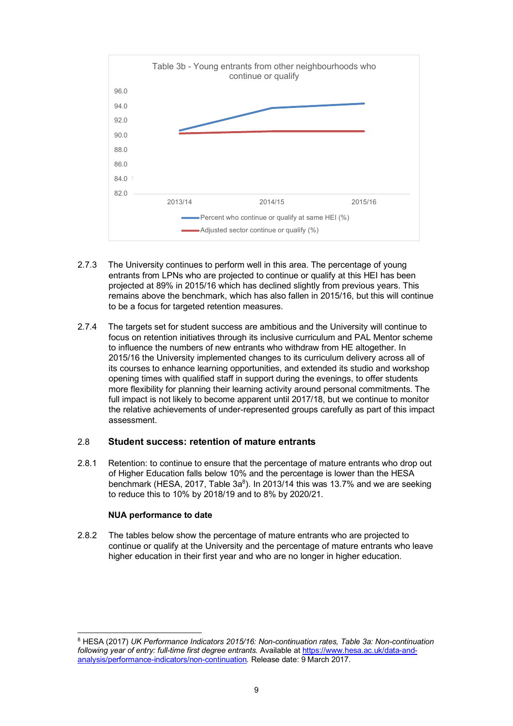

- $2.7.3$  entrants from LPNs who are projected to continue or qualify at this HEI has been projected at 89% in 2015/16 which has declined slightly from previous years. This remains above the benchmark, which has also fallen in 2015/16, but this will continue to be a focus for targeted retention measures. The University continues to perform well in this area. The percentage of young
- 2.7.4 focus on retention initiatives through its inclusive curriculum and PAL Mentor scheme to influence the numbers of new entrants who withdraw from HE altogether. In 2015/16 the University implemented changes to its curriculum delivery across all of its courses to enhance learning opportunities, and extended its studio and workshop opening times with qualified staff in support during the evenings, to offer students more flexibility for planning their learning activity around personal commitments. The full impact is not likely to become apparent until 2017/18, but we continue to monitor the relative achievements of under-represented groups carefully as part of this impact assessment. 2.7.4 The targets set for student success are ambitious and the University will continue to

#### 2.8 **Student success: retention of mature entrants**

 2.8.1 Retention: to continue to ensure that the percentage of mature entrants who drop out of Higher Education falls below 10% and the percentage is lower than the HESA benchmark (HESA, 2017, Table  $3a<sup>8</sup>$ ). In 2013/14 this was 13.7% and we are seeking to reduce this to 10% by 2018/19 and to 8% by 2020/21.

#### **NUA performance to date**

 

 2.8.2 The tables below show the percentage of mature entrants who are projected to continue or qualify at the University and the percentage of mature entrants who leave higher education in their first year and who are no longer in higher education.

<sup>8</sup> HESA (2017) *UK Performance Indicators 2015/16: Non-continuation rates, Table 3a: Non-continuation following year of entry: full-time first degree entrants.* Available at <https://www.hesa.ac.uk/data-and>analysis/performance-indicators/non-continuation*.* Release date: 9 March 2017.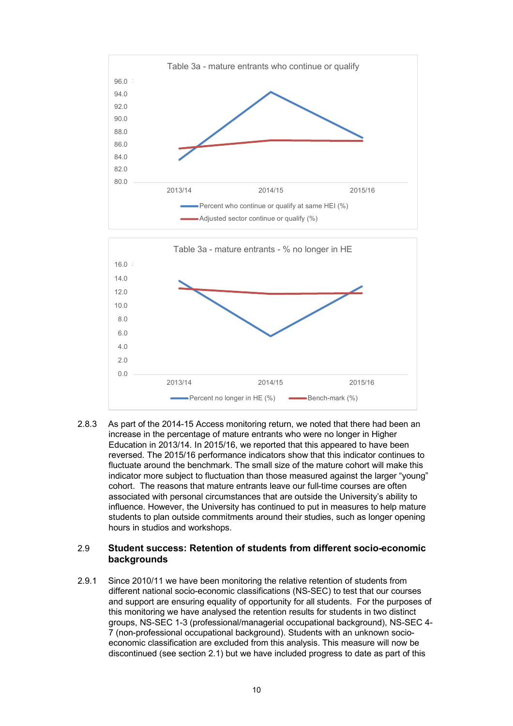



 $2.8.3$  increase in the percentage of mature entrants who were no longer in Higher Education in 2013/14. In 2015/16, we reported that this appeared to have been reversed. The 2015/16 performance indicators show that this indicator continues to fluctuate around the benchmark. The small size of the mature cohort will make this indicator more subject to fluctuation than those measured against the larger "young" cohort. The reasons that mature entrants leave our full-time courses are often associated with personal circumstances that are outside the University's ability to influence. However, the University has continued to put in measures to help mature students to plan outside commitments around their studies, such as longer opening hours in studios and workshops. As part of the 2014-15 Access monitoring return, we noted that there had been an

# hours in studios and workshops. 2.9 **Student success: Retention of students from different socio-economic backgrounds**

2.9.1 Since 2010/11 we have been monitoring the relative retention of students from different national socio-economic classifications (NS-SEC) to test that our courses and support are ensuring equality of opportunity for all students. For the purposes of this monitoring we have analysed the retention results for students in two distinct groups, NS-SEC 1-3 (professional/managerial occupational background), NS-SEC 4- 7 (non-professional occupational background). Students with an unknown socioeconomic classification are excluded from this analysis. This measure will now be discontinued (see section 2.1) but we have included progress to date as part of this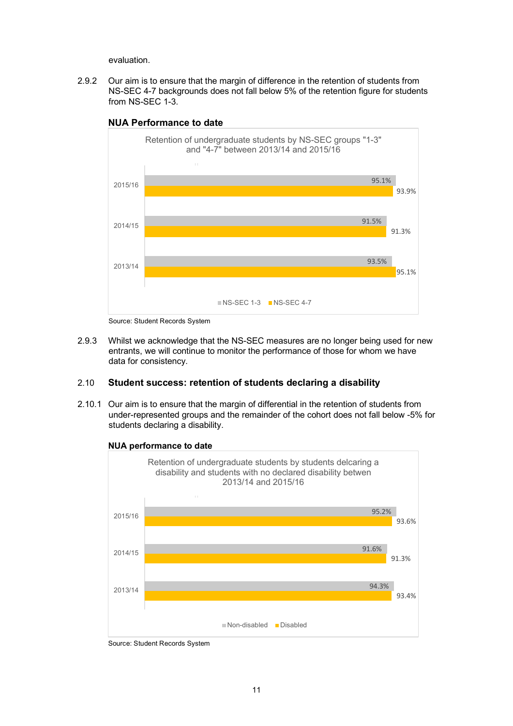evaluation.

 2.9.2 Our aim is to ensure that the margin of difference in the retention of students from NS-SEC 4-7 backgrounds does not fall below 5% of the retention figure for students from NS-SEC 1-3.



#### **NUA Performance to date**

Source: Student Records System

2.9.3 entrants, we will continue to monitor the performance of those for whom we have  data for consistency. 2.10 **Student success: retention of students declaring a disability**  2.9.3 Whilst we acknowledge that the NS-SEC measures are no longer being used for new

 2.10.1 Our aim is to ensure that the margin of differential in the retention of students from under-represented groups and the remainder of the cohort does not fall below -5% for students declaring a disability.



 **NUA performance to date** 

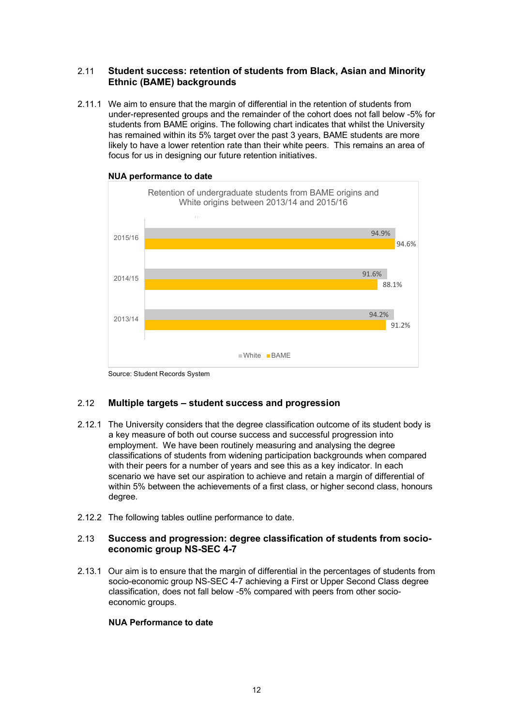#### 2.11 **Student success: retention of students from Black, Asian and Minority Ethnic (BAME) backgrounds**

 2.11.1 We aim to ensure that the margin of differential in the retention of students from under-represented groups and the remainder of the cohort does not fall below -5% for students from BAME origins. The following chart indicates that whilst the University has remained within its 5% target over the past 3 years, BAME students are more likely to have a lower retention rate than their white peers. This remains an area of focus for us in designing our future retention initiatives.



#### **NUA performance to date**

Source: Student Records System

#### 2.12 **Multiple targets – student success and progression**

- 2.12.1 The University considers that the degree classification outcome of its student body is a key measure of both out course success and successful progression into employment. We have been routinely measuring and analysing the degree classifications of students from widening participation backgrounds when compared with their peers for a number of years and see this as a key indicator. In each scenario we have set our aspiration to achieve and retain a margin of differential of within 5% between the achievements of a first class, or higher second class, honours dearee.
- degree. 2.12.2 The following tables outline performance to date.

#### 2.13 **Success and progression: degree classification of students from socioeconomic group NS-SEC 4-7**

 2.13.1 Our aim is to ensure that the margin of differential in the percentages of students from socio-economic group NS-SEC 4-7 achieving a First or Upper Second Class degree classification, does not fall below -5% compared with peers from other socioeconomic groups.

#### **NUA Performance to date**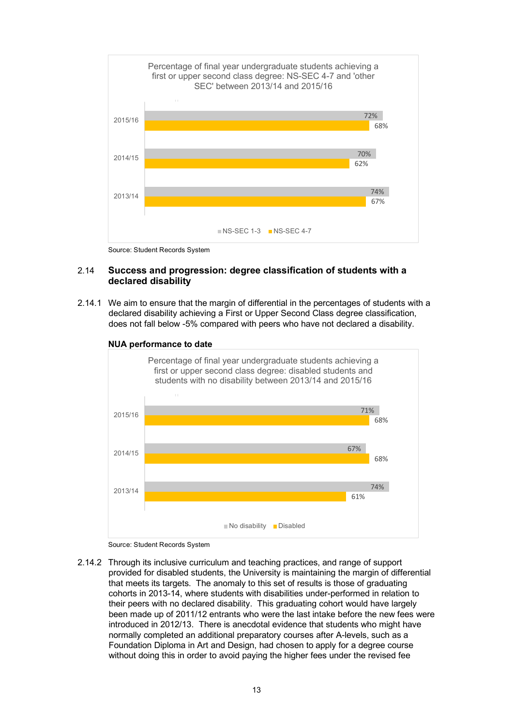

Source: Student Records System

#### 2.14 **Success and progression: degree classification of students with a declared disability**

 2.14.1 We aim to ensure that the margin of differential in the percentages of students with a declared disability achieving a First or Upper Second Class degree classification, does not fall below -5% compared with peers who have not declared a disability.



 **NUA performance to date** 

 2.14.2 Through its inclusive curriculum and teaching practices, and range of support provided for disabled students, the University is maintaining the margin of differential that meets its targets. The anomaly to this set of results is those of graduating cohorts in 2013-14, where students with disabilities under-performed in relation to their peers with no declared disability. This graduating cohort would have largely been made up of 2011/12 entrants who were the last intake before the new fees were introduced in 2012/13. There is anecdotal evidence that students who might have normally completed an additional preparatory courses after A-levels, such as a Foundation Diploma in Art and Design, had chosen to apply for a degree course without doing this in order to avoid paying the higher fees under the revised fee

Source: Student Records System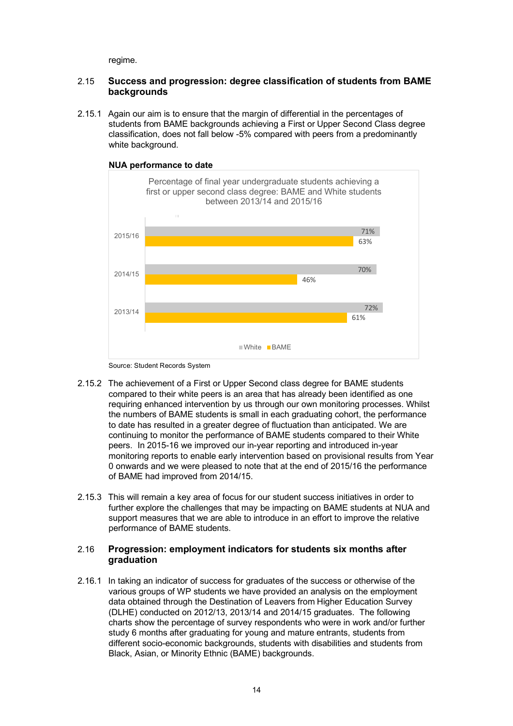regime.

#### 2.15 **Success and progression: degree classification of students from BAME backgrounds**

 2.15.1 Again our aim is to ensure that the margin of differential in the percentages of students from BAME backgrounds achieving a First or Upper Second Class degree classification, does not fall below -5% compared with peers from a predominantly white background.





- 2.15.2 The achievement of a First or Upper Second class degree for BAME students compared to their white peers is an area that has already been identified as one requiring enhanced intervention by us through our own monitoring processes. Whilst the numbers of BAME students is small in each graduating cohort, the performance to date has resulted in a greater degree of fluctuation than anticipated. We are continuing to monitor the performance of BAME students compared to their White peers. In 2015-16 we improved our in-year reporting and introduced in-year monitoring reports to enable early intervention based on provisional results from Year 0 onwards and we were pleased to note that at the end of 2015/16 the performance of BAME had improved from 2014/15.
- 2.15.3 This will remain a key area of focus for our student success initiatives in order to further explore the challenges that may be impacting on BAME students at NUA and support measures that we are able to introduce in an effort to improve the relative performance of BAME students.

#### 2.16 **Progression: employment indicators for students six months after graduation**

 2.16.1 In taking an indicator of success for graduates of the success or otherwise of the various groups of WP students we have provided an analysis on the employment data obtained through the Destination of Leavers from Higher Education Survey (DLHE) conducted on 2012/13, 2013/14 and 2014/15 graduates. The following charts show the percentage of survey respondents who were in work and/or further study 6 months after graduating for young and mature entrants, students from Black, Asian, or Minority Ethnic (BAME) backgrounds. different socio-economic backgrounds, students with disabilities and students from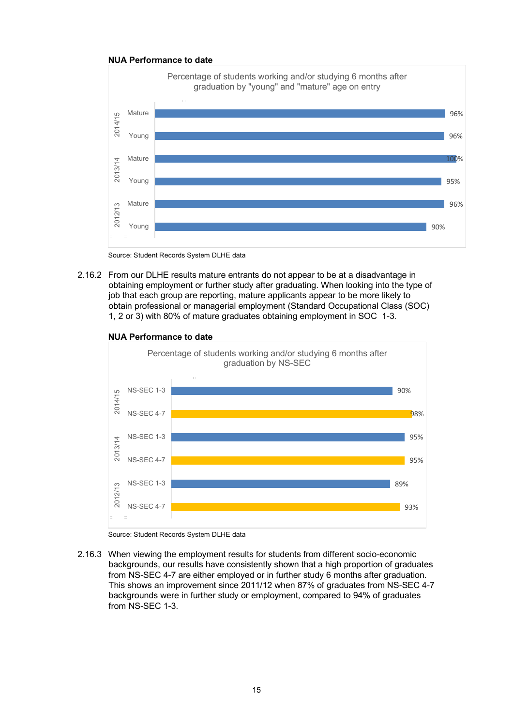

Source: Student Records System DLHE data

 2.16.2 From our DLHE results mature entrants do not appear to be at a disadvantage in obtaining employment or further study after graduating. When looking into the type of job that each group are reporting, mature applicants appear to be more likely to obtain professional or managerial employment (Standard Occupational Class (SOC) 1, 2 or 3) with 80% of mature graduates obtaining employment in SOC 1-3.





 Source: Student Records System DLHE data

 2.16.3 When viewing the employment results for students from different socio-economic backgrounds, our results have consistently shown that a high proportion of graduates from NS-SEC 4-7 are either employed or in further study 6 months after graduation. This shows an improvement since 2011/12 when 87% of graduates from NS-SEC 4-7 backgrounds were in further study or employment, compared to 94% of graduates from NS-SEC 1-3.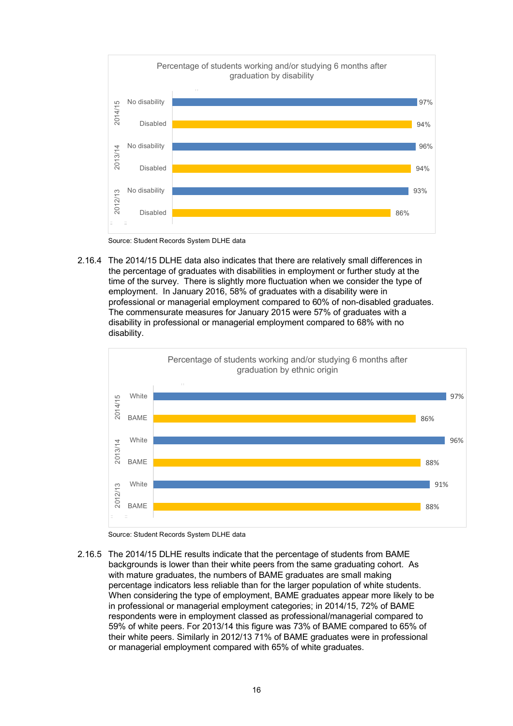

Source: Student Records System DLHE data

2.16.4 The 2014/15 DLHE data also indicates that there are relatively small differences in the percentage of graduates with disabilities in employment or further study at the time of the survey. There is slightly more fluctuation when we consider the type of employment. In January 2016, 58% of graduates with a disability were in professional or managerial employment compared to 60% of non-disabled graduates. The commensurate measures for January 2015 were 57% of graduates with a disability in professional or managerial employment compared to 68% with no disability.



Source: Student Records System DLHE data

 2.16.5 The 2014/15 DLHE results indicate that the percentage of students from BAME backgrounds is lower than their white peers from the same graduating cohort. As with mature graduates, the numbers of BAME graduates are small making percentage indicators less reliable than for the larger population of white students. When considering the type of employment, BAME graduates appear more likely to be in professional or managerial employment categories; in 2014/15, 72% of BAME respondents were in employment classed as professional/managerial compared to 59% of white peers. For 2013/14 this figure was 73% of BAME compared to 65% of their white peers. Similarly in 2012/13 71% of BAME graduates were in professional or managerial employment compared with 65% of white graduates.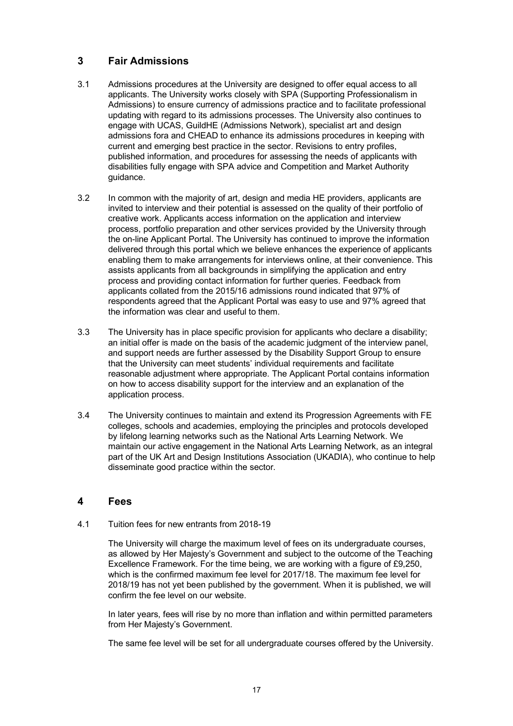## <span id="page-16-0"></span> **3 Fair Admissions**

- 3.1 Admissions procedures at the University are designed to offer equal access to all applicants. The University works closely with SPA (Supporting Professionalism in Admissions) to ensure currency of admissions practice and to facilitate professional updating with regard to its admissions processes. The University also continues to engage with UCAS, GuildHE (Admissions Network), specialist art and design admissions fora and CHEAD to enhance its admissions procedures in keeping with current and emerging best practice in the sector. Revisions to entry profiles, published information, and procedures for assessing the needs of applicants with disabilities fully engage with SPA advice and Competition and Market Authority guidance.
- $3.2$  invited to interview and their potential is assessed on the quality of their portfolio of creative work. Applicants access information on the application and interview process, portfolio preparation and other services provided by the University through the on-line Applicant Portal. The University has continued to improve the information delivered through this portal which we believe enhances the experience of applicants enabling them to make arrangements for interviews online, at their convenience. This assists applicants from all backgrounds in simplifying the application and entry process and providing contact information for further queries. Feedback from applicants collated from the 2015/16 admissions round indicated that 97% of respondents agreed that the Applicant Portal was easy to use and 97% agreed that the information was clear and useful to them. In common with the majority of art, design and media HE providers, applicants are
- $3.3$  an initial offer is made on the basis of the academic judgment of the interview panel, and support needs are further assessed by the Disability Support Group to ensure that the University can meet students' individual requirements and facilitate reasonable adjustment where appropriate. The Applicant Portal contains information on how to access disability support for the interview and an explanation of the application process. The University has in place specific provision for applicants who declare a disability;
- 3.4 The University continues to maintain and extend its Progression Agreements with FE colleges, schools and academies, employing the principles and protocols developed by lifelong learning networks such as the National Arts Learning Network. We maintain our active engagement in the National Arts Learning Network, as an integral part of the UK Art and Design Institutions Association (UKADIA), who continue to help disseminate good practice within the sector.

#### **4 Fees**

 $4.1$ 4.1 Tuition fees for new entrants from 2018-19

> The University will charge the maximum level of fees on its undergraduate courses, as allowed by Her Majesty's Government and subject to the outcome of the Teaching Excellence Framework. For the time being, we are working with a figure of £9,250, which is the confirmed maximum fee level for 2017/18. The maximum fee level for 2018/19 has not yet been published by the government. When it is published, we will confirm the fee level on our website.

> In later years, fees will rise by no more than inflation and within permitted parameters from Her Majesty's Government.

> The same fee level will be set for all undergraduate courses offered by the University.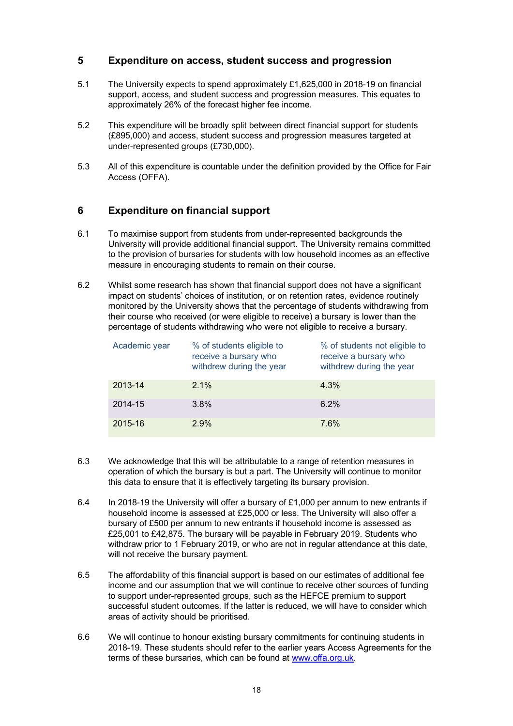#### **5 Expenditure on access, student success and progression**

- $5.1$  support, access, and student success and progression measures. This equates to approximately 26% of the forecast higher fee income. The University expects to spend approximately £1,625,000 in 2018-19 on financial
- 5.2 This expenditure will be broadly split between direct financial support for students (£895,000) and access, student success and progression measures targeted at under-represented groups (£730,000).
- $5.3$ All of this expenditure is countable under the definition provided by the Office for Fair Access (OFFA).

## **6 Expenditure on financial support**

- $6.1$  University will provide additional financial support. The University remains committed to the provision of bursaries for students with low household incomes as an effective measure in encouraging students to remain on their course. To maximise support from students from under-represented backgrounds the
- $6.2$  impact on students' choices of institution, or on retention rates, evidence routinely monitored by the University shows that the percentage of students withdrawing from their course who received (or were eligible to receive) a bursary is lower than the percentage of students withdrawing who were not eligible to receive a bursary. Whilst some research has shown that financial support does not have a significant

| Academic year | % of students eligible to<br>receive a bursary who<br>withdrew during the year | % of students not eligible to<br>receive a bursary who<br>withdrew during the year |
|---------------|--------------------------------------------------------------------------------|------------------------------------------------------------------------------------|
| 2013-14       | 2.1%                                                                           | 4.3%                                                                               |
| 2014-15       | $3.8\%$                                                                        | 6.2%                                                                               |
| 2015-16       | 2.9%                                                                           | 7.6%                                                                               |

- 6.3 operation of which the bursary is but a part. The University will continue to monitor this data to ensure that it is effectively targeting its bursary provision. We acknowledge that this will be attributable to a range of retention measures in
- 6.4 In 2018-19 the University will offer a bursary of  $£1,000$  per annum to new entrants if household income is assessed at £25,000 or less. The University will also offer a bursary of £500 per annum to new entrants if household income is assessed as £25,001 to £42,875. The bursary will be payable in February 2019. Students who withdraw prior to 1 February 2019, or who are not in regular attendance at this date, will not receive the bursary payment.
- 6.5 income and our assumption that we will continue to receive other sources of funding to support under-represented groups, such as the HEFCE premium to support successful student outcomes. If the latter is reduced, we will have to consider which areas of activity should be prioritised. The affordability of this financial support is based on our estimates of additional fee
- 6.6 2018-19. These students should refer to the earlier years Access Agreements for the terms of these bursaries, which can be found at <www.offa.org.uk>. We will continue to honour existing bursary commitments for continuing students in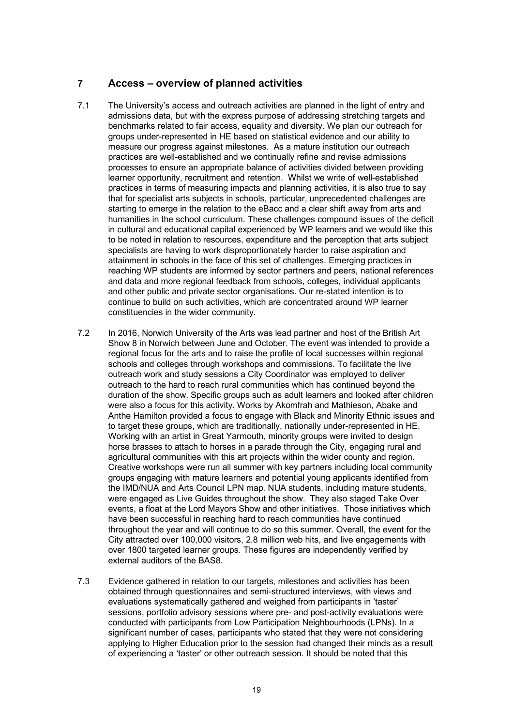## <span id="page-18-0"></span> **7 Access – overview of planned activities**

- $7.1$  admissions data, but with the express purpose of addressing stretching targets and benchmarks related to fair access, equality and diversity. We plan our outreach for groups under-represented in HE based on statistical evidence and our ability to measure our progress against milestones. As a mature institution our outreach practices are well-established and we continually refine and revise admissions processes to ensure an appropriate balance of activities divided between providing learner opportunity, recruitment and retention. Whilst we write of well-established practices in terms of measuring impacts and planning activities, it is also true to say that for specialist arts subjects in schools, particular, unprecedented challenges are starting to emerge in the relation to the eBacc and a clear shift away from arts and humanities in the school curriculum. These challenges compound issues of the deficit in cultural and educational capital experienced by WP learners and we would like this to be noted in relation to resources, expenditure and the perception that arts subject specialists are having to work disproportionately harder to raise aspiration and attainment in schools in the face of this set of challenges. Emerging practices in reaching WP students are informed by sector partners and peers, national references and data and more regional feedback from schools, colleges, individual applicants and other public and private sector organisations. Our re-stated intention is to continue to build on such activities, which are concentrated around WP learner constituencies in the wider community. The University's access and outreach activities are planned in the light of entry and
- $7.2$  Show 8 in Norwich between June and October. The event was intended to provide a regional focus for the arts and to raise the profile of local successes within regional schools and colleges through workshops and commissions. To facilitate the live outreach work and study sessions a City Coordinator was employed to deliver outreach to the hard to reach rural communities which has continued beyond the duration of the show. Specific groups such as adult learners and looked after children were also a focus for this activity. Works by Akomfrah and Mathieson, Abake and Anthe Hamilton provided a focus to engage with Black and Minority Ethnic issues and to target these groups, which are traditionally, nationally under-represented in HE. Working with an artist in Great Yarmouth, minority groups were invited to design horse brasses to attach to horses in a parade through the City, engaging rural and agricultural communities with this art projects within the wider county and region. Creative workshops were run all summer with key partners including local community groups engaging with mature learners and potential young applicants identified from the IMD/NUA and Arts Council LPN map. NUA students, including mature students, were engaged as Live Guides throughout the show. They also staged Take Over events, a float at the Lord Mayors Show and other initiatives. Those initiatives which have been successful in reaching hard to reach communities have continued throughout the year and will continue to do so this summer. Overall, the event for the City attracted over 100,000 visitors, 2.8 million web hits, and live engagements with over 1800 targeted learner groups. These figures are independently verified by external auditors of the BAS8. In 2016, Norwich University of the Arts was lead partner and host of the British Art
- 7.3 Evidence gathered in relation to our targets, milestones and activities has been obtained through questionnaires and semi-structured interviews, with views and evaluations systematically gathered and weighed from participants in 'taster' sessions, portfolio advisory sessions where pre- and post-activity evaluations were conducted with participants from Low Participation Neighbourhoods (LPNs). In a significant number of cases, participants who stated that they were not considering applying to Higher Education prior to the session had changed their minds as a result of experiencing a 'taster' or other outreach session. It should be noted that this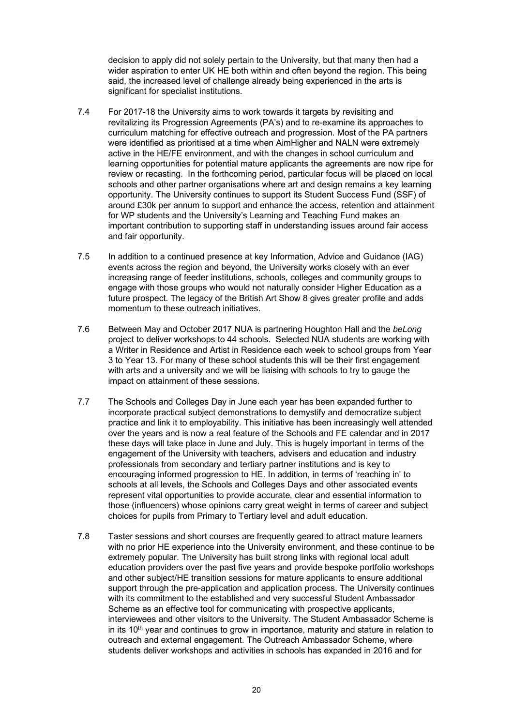decision to apply did not solely pertain to the University, but that many then had a wider aspiration to enter UK HE both within and often beyond the region. This being said, the increased level of challenge already being experienced in the arts is significant for specialist institutions.

- 7.4 For 2017-18 the University aims to work towards it targets by revisiting and revitalizing its Progression Agreements (PA's) and to re-examine its approaches to curriculum matching for effective outreach and progression. Most of the PA partners were identified as prioritised at a time when AimHigher and NALN were extremely active in the HE/FE environment, and with the changes in school curriculum and learning opportunities for potential mature applicants the agreements are now ripe for review or recasting. In the forthcoming period, particular focus will be placed on local schools and other partner organisations where art and design remains a key learning opportunity. The University continues to support its Student Success Fund (SSF) of around £30k per annum to support and enhance the access, retention and attainment for WP students and the University's Learning and Teaching Fund makes an important contribution to supporting staff in understanding issues around fair access and fair opportunity.
- $7.5$  events across the region and beyond, the University works closely with an ever increasing range of feeder institutions, schools, colleges and community groups to engage with those groups who would not naturally consider Higher Education as a future prospect. The legacy of the British Art Show 8 gives greater profile and adds momentum to these outreach initiatives. In addition to a continued presence at key Information, Advice and Guidance (IAG)
- 7.6 Between May and October 2017 NUA is partnering Houghton Hall and the *beLong*  project to deliver workshops to 44 schools. Selected NUA students are working with a Writer in Residence and Artist in Residence each week to school groups from Year 3 to Year 13. For many of these school students this will be their first engagement with arts and a university and we will be liaising with schools to try to gauge the impact on attainment of these sessions.
- $7.7$  incorporate practical subject demonstrations to demystify and democratize subject practice and link it to employability. This initiative has been increasingly well attended over the years and is now a real feature of the Schools and FE calendar and in 2017 these days will take place in June and July. This is hugely important in terms of the engagement of the University with teachers, advisers and education and industry professionals from secondary and tertiary partner institutions and is key to encouraging informed progression to HE. In addition, in terms of 'reaching in' to schools at all levels, the Schools and Colleges Days and other associated events represent vital opportunities to provide accurate, clear and essential information to those (influencers) whose opinions carry great weight in terms of career and subject choices for pupils from Primary to Tertiary level and adult education. The Schools and Colleges Day in June each year has been expanded further to
- $7.8$  with no prior HE experience into the University environment, and these continue to be extremely popular. The University has built strong links with regional local adult education providers over the past five years and provide bespoke portfolio workshops and other subject/HE transition sessions for mature applicants to ensure additional support through the pre-application and application process. The University continues with its commitment to the established and very successful Student Ambassador Scheme as an effective tool for communicating with prospective applicants, interviewees and other visitors to the University. The Student Ambassador Scheme is in its 10<sup>th</sup> year and continues to grow in importance, maturity and stature in relation to outreach and external engagement. The Outreach Ambassador Scheme, where students deliver workshops and activities in schools has expanded in 2016 and for Taster sessions and short courses are frequently geared to attract mature learners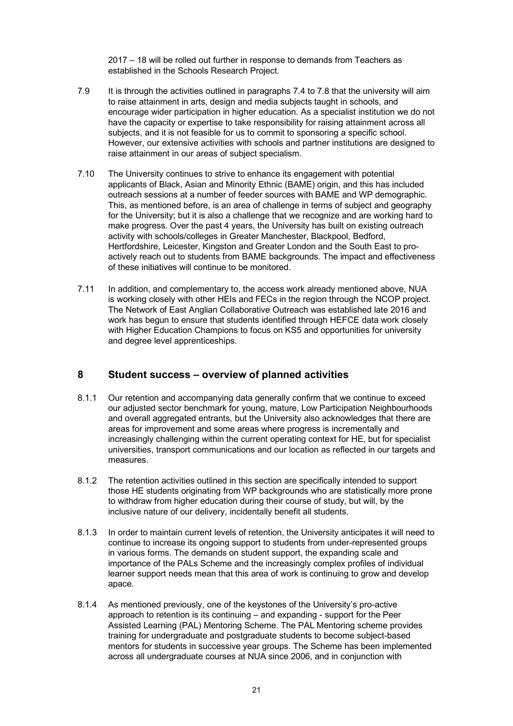2017 – 18 will be rolled out further in response to demands from Teachers as established in the Schools Research Project.

- <span id="page-20-0"></span>7.9 to raise attainment in arts, design and media subjects taught in schools, and encourage wider participation in higher education. As a specialist institution we do not have the capacity or expertise to take responsibility for raising attainment across all subjects, and it is not feasible for us to commit to sponsoring a specific school. However, our extensive activities with schools and partner institutions are designed to raise attainment in our areas of subject specialism. It is through the activities outlined in paragraphs 7.4 to 7.8 that the university will aim
- $7.10$  applicants of Black, Asian and Minority Ethnic (BAME) origin, and this has included outreach sessions at a number of feeder sources with BAME and WP demographic. This, as mentioned before, is an area of challenge in terms of subject and geography for the University; but it is also a challenge that we recognize and are working hard to make progress. Over the past 4 years, the University has built on existing outreach activity with schools/colleges in Greater Manchester, Blackpool, Bedford, Hertfordshire, Leicester, Kingston and Greater London and the South East to pro- actively reach out to students from BAME backgrounds. The impact and effectiveness of these initiatives will continue to be monitored. The University continues to strive to enhance its engagement with potential
- $7.11$  is working closely with other HEIs and FECs in the region through the NCOP project. The Network of East Anglian Collaborative Outreach was established late 2016 and work has begun to ensure that students identified through HEFCE data work closely with Higher Education Champions to focus on KS5 and opportunities for university and degree level apprenticeships. In addition, and complementary to, the access work already mentioned above, NUA

#### **8 Student success – overview of planned activities**

- $8.1.1$  our adjusted sector benchmark for young, mature, Low Participation Neighbourhoods and overall aggregated entrants, but the University also acknowledges that there are areas for improvement and some areas where progress is incrementally and increasingly challenging within the current operating context for HE, but for specialist universities, transport communications and our location as reflected in our targets and Our retention and accompanying data generally confirm that we continue to exceed measures.
- $8.1.2$  those HE students originating from WP backgrounds who are statistically more prone to withdraw from higher education during their course of study, but will, by the inclusive nature of our delivery, incidentally benefit all students. The retention activities outlined in this section are specifically intended to support
- $8.1.3$  continue to increase its ongoing support to students from under-represented groups in various forms. The demands on student support, the expanding scale and importance of the PALs Scheme and the increasingly complex profiles of individual learner support needs mean that this area of work is continuing to grow and develop In order to maintain current levels of retention, the University anticipates it will need to apace.
- 8.1.4 As mentioned previously, one of the keystones of the University's pro-active approach to retention is its continuing – and expanding - support for the Peer Assisted Learning (PAL) Mentoring Scheme. The PAL Mentoring scheme provides training for undergraduate and postgraduate students to become subject-based mentors for students in successive year groups. The Scheme has been implemented across all undergraduate courses at NUA since 2006, and in conjunction with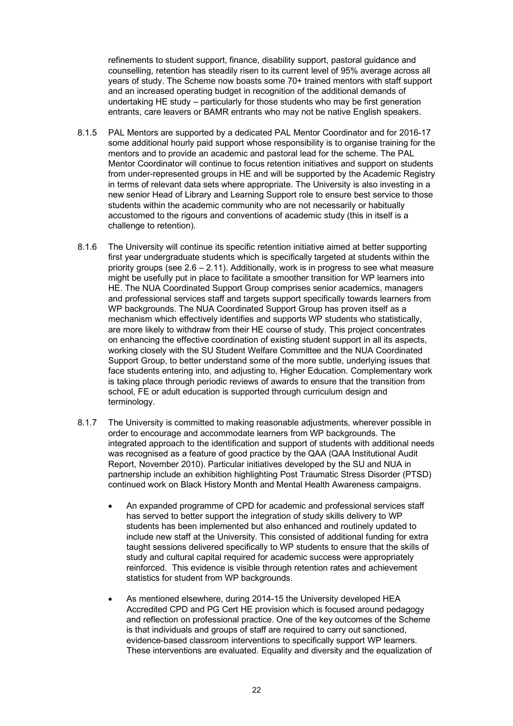refinements to student support, finance, disability support, pastoral guidance and counselling, retention has steadily risen to its current level of 95% average across all years of study. The Scheme now boasts some 70+ trained mentors with staff support and an increased operating budget in recognition of the additional demands of undertaking HE study – particularly for those students who may be first generation entrants, care leavers or BAMR entrants who may not be native English speakers.

- $8.1.5$  some additional hourly paid support whose responsibility is to organise training for the mentors and to provide an academic and pastoral lead for the scheme. The PAL Mentor Coordinator will continue to focus retention initiatives and support on students from under-represented groups in HE and will be supported by the Academic Registry in terms of relevant data sets where appropriate. The University is also investing in a new senior Head of Library and Learning Support role to ensure best service to those students within the academic community who are not necessarily or habitually accustomed to the rigours and conventions of academic study (this in itself is a challenge to retention). PAL Mentors are supported by a dedicated PAL Mentor Coordinator and for 2016-17
- 8.1.6 first year undergraduate students which is specifically targeted at students within the priority groups (see 2.6 – 2.11). Additionally, work is in progress to see what measure might be usefully put in place to facilitate a smoother transition for WP learners into HE. The NUA Coordinated Support Group comprises senior academics, managers and professional services staff and targets support specifically towards learners from WP backgrounds. The NUA Coordinated Support Group has proven itself as a mechanism which effectively identifies and supports WP students who statistically, are more likely to withdraw from their HE course of study. This project concentrates on enhancing the effective coordination of existing student support in all its aspects, working closely with the SU Student Welfare Committee and the NUA Coordinated Support Group, to better understand some of the more subtle, underlying issues that face students entering into, and adjusting to, Higher Education. Complementary work is taking place through periodic reviews of awards to ensure that the transition from school, FE or adult education is supported through curriculum design and terminology. The University will continue its specific retention initiative aimed at better supporting
- $8.1.7$  order to encourage and accommodate learners from WP backgrounds. The integrated approach to the identification and support of students with additional needs was recognised as a feature of good practice by the QAA (QAA Institutional Audit Report, November 2010). Particular initiatives developed by the SU and NUA in partnership include an exhibition highlighting Post Traumatic Stress Disorder (PTSD) continued work on Black History Month and Mental Health Awareness campaigns. The University is committed to making reasonable adjustments, wherever possible in
	- has served to better support the integration of study skills delivery to WP students has been implemented but also enhanced and routinely updated to include new staff at the University. This consisted of additional funding for extra taught sessions delivered specifically to WP students to ensure that the skills of study and cultural capital required for academic success were appropriately reinforced. This evidence is visible through retention rates and achievement statistics for student from WP backgrounds. • An expanded programme of CPD for academic and professional services staff
	- • As mentioned elsewhere, during 2014-15 the University developed HEA Accredited CPD and PG Cert HE provision which is focused around pedagogy and reflection on professional practice. One of the key outcomes of the Scheme is that individuals and groups of staff are required to carry out sanctioned, evidence-based classroom interventions to specifically support WP learners. These interventions are evaluated. Equality and diversity and the equalization of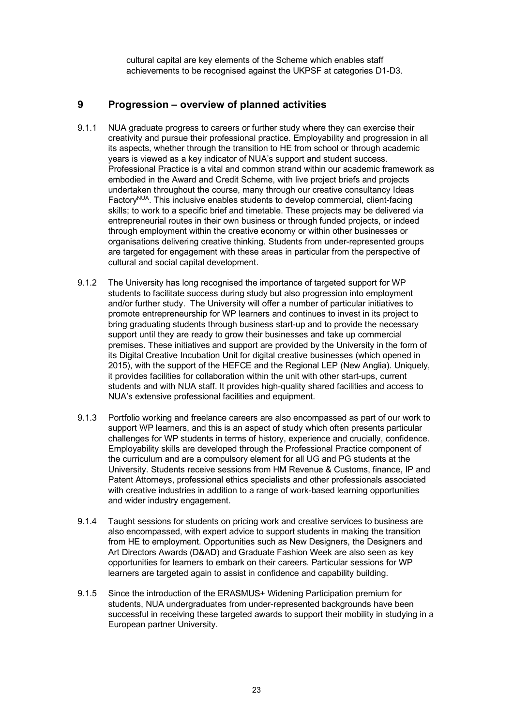cultural capital are key elements of the Scheme which enables staff achievements to be recognised against the UKPSF at categories D1-D3.

### <span id="page-22-0"></span> **9 Progression – overview of planned activities**

- 9.1.1 NUA graduate progress to careers or further study where they can exercise their creativity and pursue their professional practice. Employability and progression in all its aspects, whether through the transition to HE from school or through academic years is viewed as a key indicator of NUA's support and student success. Professional Practice is a vital and common strand within our academic framework as embodied in the Award and Credit Scheme, with live project briefs and projects undertaken throughout the course, many through our creative consultancy Ideas Factory<sup>NUA</sup>. This inclusive enables students to develop commercial, client-facing skills; to work to a specific brief and timetable. These projects may be delivered via entrepreneurial routes in their own business or through funded projects, or indeed through employment within the creative economy or within other businesses or organisations delivering creative thinking. Students from under-represented groups are targeted for engagement with these areas in particular from the perspective of cultural and social capital development.
- $9.1.2$  students to facilitate success during study but also progression into employment and/or further study. The University will offer a number of particular initiatives to promote entrepreneurship for WP learners and continues to invest in its project to bring graduating students through business start-up and to provide the necessary support until they are ready to grow their businesses and take up commercial premises. These initiatives and support are provided by the University in the form of its Digital Creative Incubation Unit for digital creative businesses (which opened in 2015), with the support of the HEFCE and the Regional LEP (New Anglia). Uniquely, it provides facilities for collaboration within the unit with other start-ups, current students and with NUA staff. It provides high-quality shared facilities and access to NUA's extensive professional facilities and equipment. The University has long recognised the importance of targeted support for WP
- $9.1.3$  support WP learners, and this is an aspect of study which often presents particular challenges for WP students in terms of history, experience and crucially, confidence. Employability skills are developed through the Professional Practice component of the curriculum and are a compulsory element for all UG and PG students at the University. Students receive sessions from HM Revenue & Customs, finance, IP and Patent Attorneys, professional ethics specialists and other professionals associated with creative industries in addition to a range of work-based learning opportunities and wider industry engagement. Portfolio working and freelance careers are also encompassed as part of our work to
- $9.1.4$  also encompassed, with expert advice to support students in making the transition from HE to employment. Opportunities such as New Designers, the Designers and Art Directors Awards (D&AD) and Graduate Fashion Week are also seen as key opportunities for learners to embark on their careers. Particular sessions for WP learners are targeted again to assist in confidence and capability building. Taught sessions for students on pricing work and creative services to business are
- $9.1.5$  students, NUA undergraduates from under-represented backgrounds have been successful in receiving these targeted awards to support their mobility in studying in a European partner University. Since the introduction of the ERASMUS+ Widening Participation premium for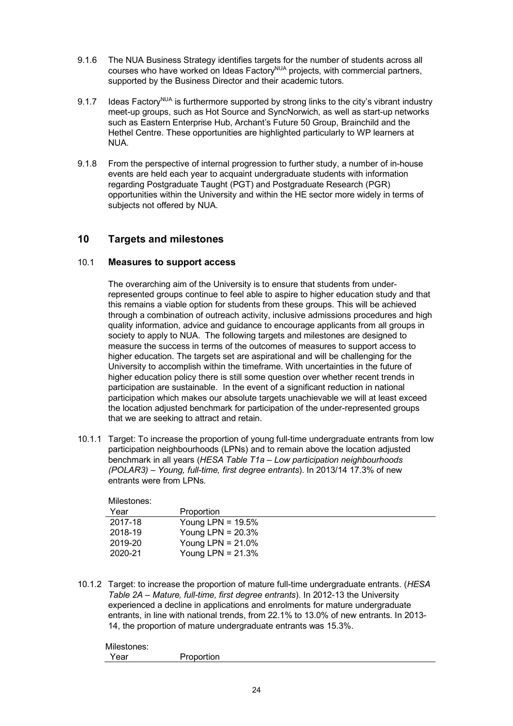- <span id="page-23-0"></span> 9.1.6 The NUA Business Strategy identifies targets for the number of students across all courses who have worked on Ideas Factory<sup>NUA</sup> projects, with commercial partners, supported by the Business Director and their academic tutors.
- 9.1.7 Ideas Factory<sup>NUA</sup> is furthermore supported by strong links to the city's vibrant industry meet-up groups, such as Hot Source and SyncNorwich, as well as start-up networks such as Eastern Enterprise Hub, Archant's Future 50 Group, Brainchild and the Hethel Centre. These opportunities are highlighted particularly to WP learners at NUA.
- $9.1.8$  events are held each year to acquaint undergraduate students with information regarding Postgraduate Taught (PGT) and Postgraduate Research (PGR) opportunities within the University and within the HE sector more widely in terms of subjects not offered by NUA. From the perspective of internal progression to further study, a number of in-house

#### **10 Targets and milestones**

#### 10.1 **Measures to support access**

 The overarching aim of the University is to ensure that students from under- represented groups continue to feel able to aspire to higher education study and that this remains a viable option for students from these groups. This will be achieved through a combination of outreach activity, inclusive admissions procedures and high quality information, advice and guidance to encourage applicants from all groups in society to apply to NUA. The following targets and milestones are designed to measure the success in terms of the outcomes of measures to support access to higher education. The targets set are aspirational and will be challenging for the University to accomplish within the timeframe. With uncertainties in the future of higher education policy there is still some question over whether recent trends in participation are sustainable. In the event of a significant reduction in national participation which makes our absolute targets unachievable we will at least exceed the location adjusted benchmark for participation of the under-represented groups that we are seeking to attract and retain.

 10.1.1 Target: To increase the proportion of young full-time undergraduate entrants from low participation neighbourhoods (LPNs) and to remain above the location adjusted benchmark in all years (*HESA Table T1a – Low participation neighbourhoods (POLAR3) – Young, full-time, first degree entrants*). In 2013/14 17.3% of new entrants were from LPNs.

| Milestones: |                      |
|-------------|----------------------|
| Year        | Proportion           |
| 2017-18     | Young LPN = $19.5\%$ |
| 2018-19     | Young LPN = $20.3\%$ |
| 2019-20     | Young LPN = $21.0\%$ |
| 2020-21     | Young LPN = $21.3\%$ |

 10.1.2 Target: to increase the proportion of mature full-time undergraduate entrants. (*HESA Table 2A – Mature, full-time, first degree entrants*). In 2012-13 the University experienced a decline in applications and enrolments for mature undergraduate entrants, in line with national trends, from 22.1% to 13.0% of new entrants. In 2013- 14, the proportion of mature undergraduate entrants was 15.3%.

| Milestones: |            |
|-------------|------------|
| Year        | Proportion |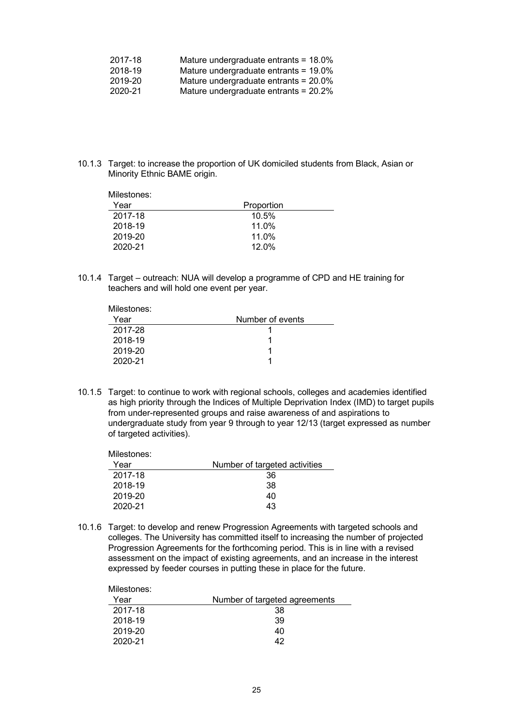| 2017-18 | Mature undergraduate entrants = $18.0\%$ |
|---------|------------------------------------------|
| 2018-19 | Mature undergraduate entrants = 19.0%    |
| 2019-20 | Mature undergraduate entrants = 20.0%    |
| 2020-21 | Mature undergraduate entrants = 20.2%    |

 10.1.3 Target: to increase the proportion of UK domiciled students from Black, Asian or Minority Ethnic BAME origin.

| Milestones: |            |  |
|-------------|------------|--|
| Year        | Proportion |  |
| 2017-18     | 10.5%      |  |
| 2018-19     | 11.0%      |  |
| 2019-20     | 11.0%      |  |
| 2020-21     | 12.0%      |  |
|             |            |  |

 10.1.4 Target – outreach: NUA will develop a programme of CPD and HE training for teachers and will hold one event per year.

| Milestones: |                  |  |
|-------------|------------------|--|
| Year        | Number of events |  |
| 2017-28     |                  |  |
| 2018-19     |                  |  |
| 2019-20     |                  |  |
| 2020-21     |                  |  |

 10.1.5 Target: to continue to work with regional schools, colleges and academies identified as high priority through the Indices of Multiple Deprivation Index (IMD) to target pupils from under-represented groups and raise awareness of and aspirations to undergraduate study from year 9 through to year 12/13 (target expressed as number of targeted activities).

| Milestones: |                               |
|-------------|-------------------------------|
| Year        | Number of targeted activities |
| 2017-18     | 36                            |
| 2018-19     | 38                            |
| 2019-20     | 40                            |
| 2020-21     | 43                            |

 10.1.6 Target: to develop and renew Progression Agreements with targeted schools and colleges. The University has committed itself to increasing the number of projected Progression Agreements for the forthcoming period. This is in line with a revised assessment on the impact of existing agreements, and an increase in the interest expressed by feeder courses in putting these in place for the future.

| Milestones: |                               |
|-------------|-------------------------------|
| Year        | Number of targeted agreements |
| 2017-18     | 38                            |
| 2018-19     | 39                            |
| 2019-20     | 40                            |
| 2020-21     | 42                            |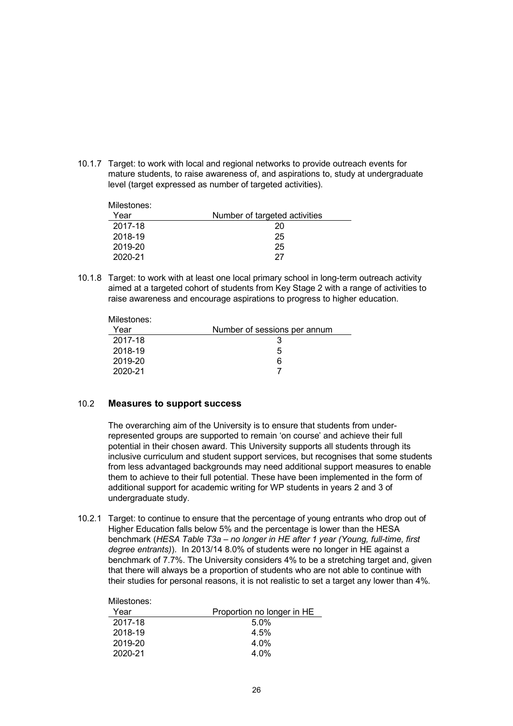10.1.7 Target: to work with local and regional networks to provide outreach events for mature students, to raise awareness of, and aspirations to, study at undergraduate level (target expressed as number of targeted activities).

| Milestones: |                               |
|-------------|-------------------------------|
| Year        | Number of targeted activities |
| 2017-18     | 20                            |
| 2018-19     | 25                            |
| 2019-20     | 25                            |
| 2020-21     | 27                            |

 10.1.8 Target: to work with at least one local primary school in long-term outreach activity aimed at a targeted cohort of students from Key Stage 2 with a range of activities to raise awareness and encourage aspirations to progress to higher education.

| Number of sessions per annum |
|------------------------------|
|                              |
| 5                            |
| 6                            |
|                              |
|                              |

#### 10.2 **Measures to support success**

Milestones:

 The overarching aim of the University is to ensure that students from under- represented groups are supported to remain 'on course' and achieve their full potential in their chosen award. This University supports all students through its inclusive curriculum and student support services, but recognises that some students from less advantaged backgrounds may need additional support measures to enable them to achieve to their full potential. These have been implemented in the form of additional support for academic writing for WP students in years 2 and 3 of undergraduate study.

 10.2.1 Target: to continue to ensure that the percentage of young entrants who drop out of Higher Education falls below 5% and the percentage is lower than the HESA  benchmark (*HESA Table T3a – no longer in HE after 1 year (Young, full-time, first degree entrants)*). In 2013/14 8.0% of students were no longer in HE against a benchmark of 7.7%. The University considers 4% to be a stretching target and, given that there will always be a proportion of students who are not able to continue with their studies for personal reasons, it is not realistic to set a target any lower than 4%.

| MILESTONES: |                            |
|-------------|----------------------------|
| Year        | Proportion no longer in HE |
| 2017-18     | 5.0%                       |
| 2018-19     | 4.5%                       |
| 2019-20     | $4.0\%$                    |
| 2020-21     | $4.0\%$                    |
|             |                            |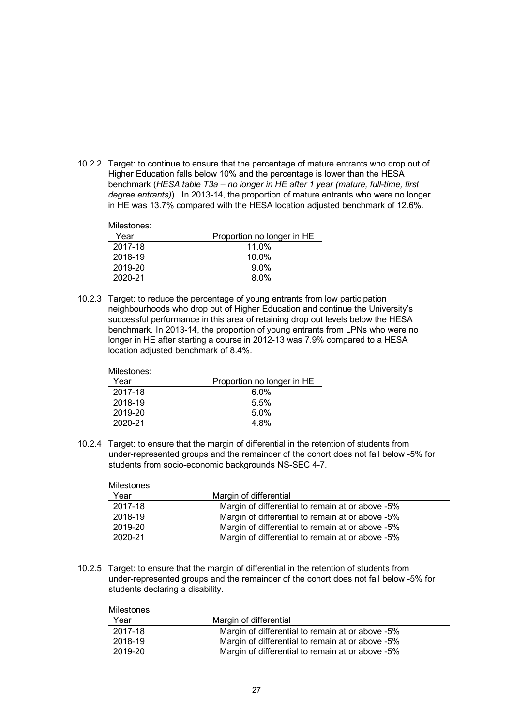10.2.2 Target: to continue to ensure that the percentage of mature entrants who drop out of Higher Education falls below 10% and the percentage is lower than the HESA  benchmark (*HESA table T3a – no longer in HE after 1 year (mature, full-time, first degree entrants)*) . In 2013-14, the proportion of mature entrants who were no longer in HE was 13.7% compared with the HESA location adjusted benchmark of 12.6%.

| Milestones: |                            |
|-------------|----------------------------|
| Year        | Proportion no longer in HE |
| 2017-18     | $11.0\%$                   |
| 2018-19     | $10.0\%$                   |
| 2019-20     | $9.0\%$                    |
| 2020-21     | 8.0%                       |

 10.2.3 Target: to reduce the percentage of young entrants from low participation neighbourhoods who drop out of Higher Education and continue the University's successful performance in this area of retaining drop out levels below the HESA benchmark. In 2013-14, the proportion of young entrants from LPNs who were no longer in HE after starting a course in 2012-13 was 7.9% compared to a HESA location adjusted benchmark of 8.4%.

| Milestones: |                            |
|-------------|----------------------------|
| Year        | Proportion no longer in HE |
| 2017-18     | $6.0\%$                    |
| 2018-19     | 5.5%                       |
| 2019-20     | 5.0%                       |
| 2020-21     | 4.8%                       |

 10.2.4 Target: to ensure that the margin of differential in the retention of students from under-represented groups and the remainder of the cohort does not fall below -5% for students from socio-economic backgrounds NS-SEC 4-7.

| Margin of differential                           |
|--------------------------------------------------|
| Margin of differential to remain at or above -5% |
| Margin of differential to remain at or above -5% |
| Margin of differential to remain at or above -5% |
| Margin of differential to remain at or above -5% |
|                                                  |

 10.2.5 Target: to ensure that the margin of differential in the retention of students from under-represented groups and the remainder of the cohort does not fall below -5% for students declaring a disability.

| Milestones: |                                                  |
|-------------|--------------------------------------------------|
| Year        | Margin of differential                           |
| 2017-18     | Margin of differential to remain at or above -5% |
| 2018-19     | Margin of differential to remain at or above -5% |
| 2019-20     | Margin of differential to remain at or above -5% |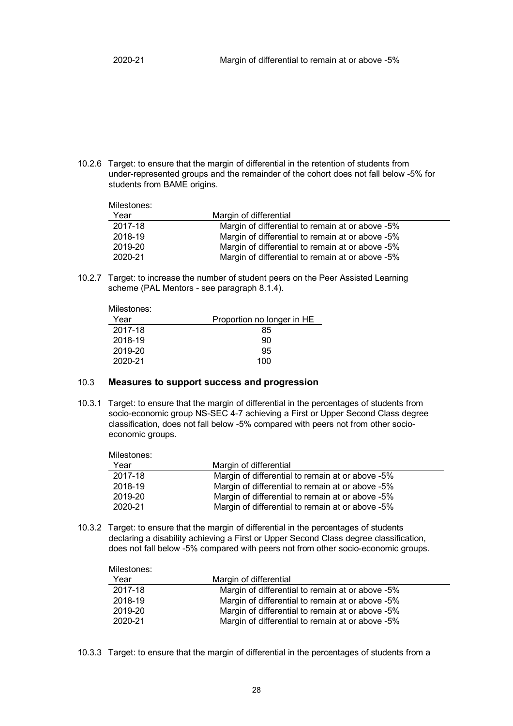10.2.6 Target: to ensure that the margin of differential in the retention of students from under-represented groups and the remainder of the cohort does not fall below -5% for students from BAME origins.

| Milestones: |                                                  |
|-------------|--------------------------------------------------|
| Year        | Margin of differential                           |
| 2017-18     | Margin of differential to remain at or above -5% |
| 2018-19     | Margin of differential to remain at or above -5% |
| 2019-20     | Margin of differential to remain at or above -5% |
| 2020-21     | Margin of differential to remain at or above -5% |

 10.2.7 Target: to increase the number of student peers on the Peer Assisted Learning scheme (PAL Mentors - see paragraph 8.1.4).

| Milestones: |                            |
|-------------|----------------------------|
| Year        | Proportion no longer in HE |
| 2017-18     | 85                         |
| 2018-19     | 90                         |
| 2019-20     | 95                         |
| 2020-21     | $100 -$                    |

#### 10.3 **Measures to support success and progression**

 10.3.1 Target: to ensure that the margin of differential in the percentages of students from socio-economic group NS-SEC 4-7 achieving a First or Upper Second Class degree classification, does not fall below -5% compared with peers not from other socioeconomic groups.

| Milestones: |                                                  |
|-------------|--------------------------------------------------|
| Year        | Margin of differential                           |
| 2017-18     | Margin of differential to remain at or above -5% |
| 2018-19     | Margin of differential to remain at or above -5% |
| 2019-20     | Margin of differential to remain at or above -5% |
| 2020-21     | Margin of differential to remain at or above -5% |

 10.3.2 Target: to ensure that the margin of differential in the percentages of students declaring a disability achieving a First or Upper Second Class degree classification, does not fall below -5% compared with peers not from other socio-economic groups.

| Milestones: |                                                  |
|-------------|--------------------------------------------------|
| Year        | Margin of differential                           |
| 2017-18     | Margin of differential to remain at or above -5% |
| 2018-19     | Margin of differential to remain at or above -5% |
| 2019-20     | Margin of differential to remain at or above -5% |
| 2020-21     | Margin of differential to remain at or above -5% |

10.3.3 Target: to ensure that the margin of differential in the percentages of students from a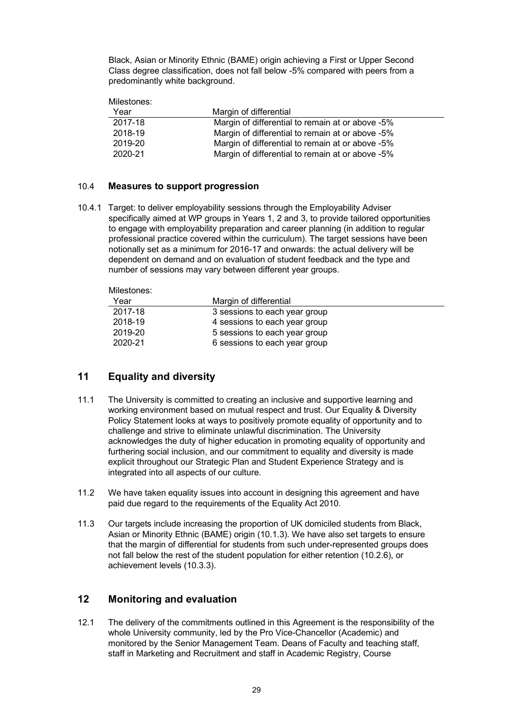<span id="page-28-0"></span> Black, Asian or Minority Ethnic (BAME) origin achieving a First or Upper Second Class degree classification, does not fall below -5% compared with peers from a predominantly white background.

Milestones:

| Year    | Margin of differential                           |
|---------|--------------------------------------------------|
| 2017-18 | Margin of differential to remain at or above -5% |
| 2018-19 | Margin of differential to remain at or above -5% |
| 2019-20 | Margin of differential to remain at or above -5% |
| 2020-21 | Margin of differential to remain at or above -5% |

#### 10.4 **Measures to support progression**

 10.4.1 Target: to deliver employability sessions through the Employability Adviser specifically aimed at WP groups in Years 1, 2 and 3, to provide tailored opportunities to engage with employability preparation and career planning (in addition to regular professional practice covered within the curriculum). The target sessions have been notionally set as a minimum for 2016-17 and onwards: the actual delivery will be dependent on demand and on evaluation of student feedback and the type and number of sessions may vary between different year groups.

| Milestones: |                               |  |
|-------------|-------------------------------|--|
| Year        | Margin of differential        |  |
| 2017-18     | 3 sessions to each year group |  |
| 2018-19     | 4 sessions to each year group |  |
| 2019-20     | 5 sessions to each year group |  |
| 2020-21     | 6 sessions to each year group |  |
|             |                               |  |

## **11 Equality and diversity**

- $11.1$  working environment based on mutual respect and trust. Our Equality & Diversity Policy Statement looks at ways to positively promote equality of opportunity and to challenge and strive to eliminate unlawful discrimination. The University acknowledges the duty of higher education in promoting equality of opportunity and furthering social inclusion, and our commitment to equality and diversity is made explicit throughout our Strategic Plan and Student Experience Strategy and is integrated into all aspects of our culture. The University is committed to creating an inclusive and supportive learning and
- $11.2$  paid due regard to the requirements of the Equality Act 2010. We have taken equality issues into account in designing this agreement and have
- $11.3$  Asian or Minority Ethnic (BAME) origin (10.1.3). We have also set targets to ensure that the margin of differential for students from such under-represented groups does not fall below the rest of the student population for either retention (10.2.6), or Our targets include increasing the proportion of UK domiciled students from Black, achievement levels (10.3.3).

#### **12 Monitoring and evaluation**

 $12.1$  whole University community, led by the Pro Vice-Chancellor (Academic) and monitored by the Senior Management Team. Deans of Faculty and teaching staff, staff in Marketing and Recruitment and staff in Academic Registry, Course The delivery of the commitments outlined in this Agreement is the responsibility of the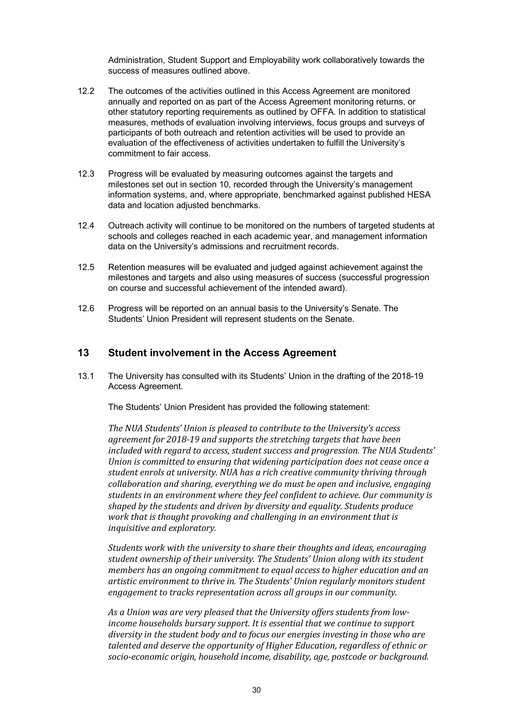Administration, Student Support and Employability work collaboratively towards the success of measures outlined above.

- <span id="page-29-0"></span> $12.2$  annually and reported on as part of the Access Agreement monitoring returns, or other statutory reporting requirements as outlined by OFFA. In addition to statistical measures, methods of evaluation involving interviews, focus groups and surveys of participants of both outreach and retention activities will be used to provide an evaluation of the effectiveness of activities undertaken to fulfill the University's commitment to fair access. The outcomes of the activities outlined in this Access Agreement are monitored
- 12.3 Progress will be evaluated by measuring outcomes against the targets and milestones set out in section 10, recorded through the University's management information systems, and, where appropriate, benchmarked against published HESA data and location adjusted benchmarks.
- 12.4 Outreach activity will continue to be monitored on the numbers of targeted students at schools and colleges reached in each academic year, and management information data on the University's admissions and recruitment records.
- 12.5 Retention measures will be evaluated and judged against achievement against the milestones and targets and also using measures of success (successful progression on course and successful achievement of the intended award).
- 12.6 Progress will be reported on an annual basis to the University's Senate. The Students' Union President will represent students on the Senate.

#### **13 Student involvement in the Access Agreement**

 $131$ Access Agreement. 13.1 The University has consulted with its Students' Union in the drafting of the 2018-19

Access Agreement.<br>The Students' Union President has provided the following statement:

 *The NUA Students' Union is pleased to contribute to the University's access agreement for 2018-19 and supports the stretching targets that have been included with regard to access, student success and progression. The NUA Students' Union is committed to ensuring that widening participation does not cease once a student enrols at university. NUA has a rich creative community thriving through collaboration and sharing, everything we do must be open and inclusive, engaging students in an environment where they feel confident to achieve. Our community is shaped by the students and driven by diversity and equality. Students produce work that is thought provoking and challenging in an environment that is inquisitive and exploratory.*

 *student ownership of their university. The Students' Union along with its student members has an ongoing commitment to equal access to higher education and an artistic environment to thrive in. The Students' Union regularly monitors student engagement to tracks representation across all groups in our community. Students work with the university to share their thoughts and ideas, encouraging* 

 *As a Union was are very pleased that the University offers students from low- income households bursary support. It is essential that we continue to support diversity in the student body and to focus our energies investing in those who are talented and deserve the opportunity of Higher Education, regardless of ethnic or socio-economic origin, household income, disability, age, postcode or background.*